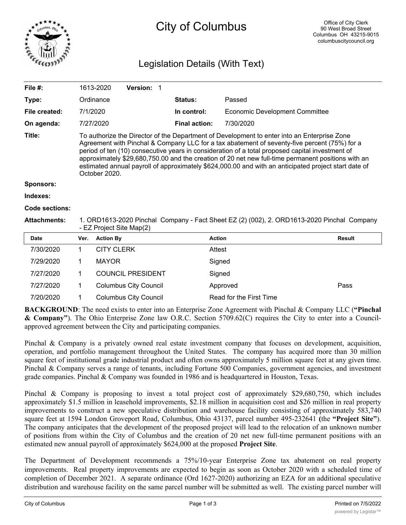

# City of Columbus

## Legislation Details (With Text)

| File #:             |                                                                                                                                                                                                                                                                                                                                                                                                                                                                                                                               | 1613-2020         | Version: 1                   |                      |                                       |               |
|---------------------|-------------------------------------------------------------------------------------------------------------------------------------------------------------------------------------------------------------------------------------------------------------------------------------------------------------------------------------------------------------------------------------------------------------------------------------------------------------------------------------------------------------------------------|-------------------|------------------------------|----------------------|---------------------------------------|---------------|
| Type:               |                                                                                                                                                                                                                                                                                                                                                                                                                                                                                                                               | Ordinance         |                              | <b>Status:</b>       | Passed                                |               |
| File created:       |                                                                                                                                                                                                                                                                                                                                                                                                                                                                                                                               | 7/1/2020          |                              | In control:          | <b>Economic Development Committee</b> |               |
| On agenda:          |                                                                                                                                                                                                                                                                                                                                                                                                                                                                                                                               | 7/27/2020         |                              | <b>Final action:</b> | 7/30/2020                             |               |
| Title:              | To authorize the Director of the Department of Development to enter into an Enterprise Zone<br>Agreement with Pinchal & Company LLC for a tax abatement of seventy-five percent (75%) for a<br>period of ten (10) consecutive years in consideration of a total proposed capital investment of<br>approximately \$29,680,750.00 and the creation of 20 net new full-time permanent positions with an<br>estimated annual payroll of approximately \$624,000.00 and with an anticipated project start date of<br>October 2020. |                   |                              |                      |                                       |               |
| <b>Sponsors:</b>    |                                                                                                                                                                                                                                                                                                                                                                                                                                                                                                                               |                   |                              |                      |                                       |               |
| Indexes:            |                                                                                                                                                                                                                                                                                                                                                                                                                                                                                                                               |                   |                              |                      |                                       |               |
| Code sections:      |                                                                                                                                                                                                                                                                                                                                                                                                                                                                                                                               |                   |                              |                      |                                       |               |
| <b>Attachments:</b> | 1. ORD1613-2020 Pinchal Company - Fact Sheet EZ (2) (002), 2. ORD1613-2020 Pinchal Company<br>- EZ Project Site Map(2)                                                                                                                                                                                                                                                                                                                                                                                                        |                   |                              |                      |                                       |               |
| <b>Date</b>         | Ver.                                                                                                                                                                                                                                                                                                                                                                                                                                                                                                                          | <b>Action By</b>  |                              |                      | <b>Action</b>                         | <b>Result</b> |
| 7/30/2020           | 1                                                                                                                                                                                                                                                                                                                                                                                                                                                                                                                             | <b>CITY CLERK</b> |                              |                      | Attest                                |               |
| 7/29/2020           | 1                                                                                                                                                                                                                                                                                                                                                                                                                                                                                                                             | <b>MAYOR</b>      |                              |                      | Signed                                |               |
| 7/27/2020           | 1                                                                                                                                                                                                                                                                                                                                                                                                                                                                                                                             |                   | <b>COUNCIL PRESIDENT</b>     |                      | Signed                                |               |
| 7/27/2020           | 1                                                                                                                                                                                                                                                                                                                                                                                                                                                                                                                             |                   | <b>Columbus City Council</b> |                      | Approved                              | Pass          |
| 7/20/2020           | 1                                                                                                                                                                                                                                                                                                                                                                                                                                                                                                                             |                   | <b>Columbus City Council</b> |                      | Read for the First Time               |               |

**BACKGROUND**: The need exists to enter into an Enterprise Zone Agreement with Pinchal & Company LLC (**"Pinchal & Company"**). The Ohio Enterprise Zone law O.R.C. Section 5709.62(C) requires the City to enter into a Councilapproved agreement between the City and participating companies.

Pinchal & Company is a privately owned real estate investment company that focuses on development, acquisition, operation, and portfolio management throughout the United States. The company has acquired more than 30 million square feet of institutional grade industrial product and often owns approximately 5 million square feet at any given time. Pinchal & Company serves a range of tenants, including Fortune 500 Companies, government agencies, and investment grade companies. Pinchal & Company was founded in 1986 and is headquartered in Houston, Texas.

Pinchal & Company is proposing to invest a total project cost of approximately \$29,680,750, which includes approximately \$1.5 million in leasehold improvements, \$2.18 million in acquisition cost and \$26 million in real property improvements to construct a new speculative distribution and warehouse facility consisting of approximately 583,740 square feet at 1594 London Groveport Road, Columbus, Ohio 43137, parcel number 495-232641 **(**the **"Project Site"**). The company anticipates that the development of the proposed project will lead to the relocation of an unknown number of positions from within the City of Columbus and the creation of 20 net new full-time permanent positions with an estimated new annual payroll of approximately \$624,000 at the proposed **Project Site**.

The Department of Development recommends a 75%/10-year Enterprise Zone tax abatement on real property improvements. Real property improvements are expected to begin as soon as October 2020 with a scheduled time of completion of December 2021. A separate ordinance (Ord 1627-2020) authorizing an EZA for an additional speculative distribution and warehouse facility on the same parcel number will be submitted as well. The existing parcel number will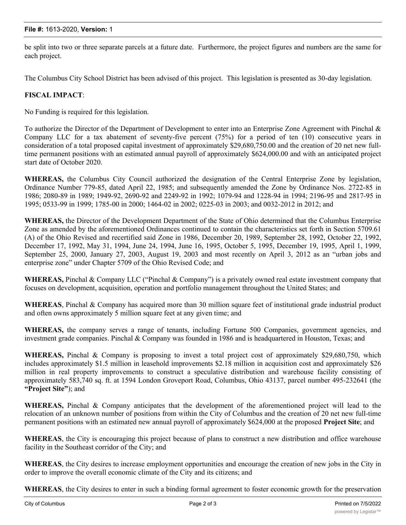be split into two or three separate parcels at a future date. Furthermore, the project figures and numbers are the same for each project.

The Columbus City School District has been advised of this project. This legislation is presented as 30-day legislation.

### **FISCAL IMPACT**:

No Funding is required for this legislation.

To authorize the Director of the Department of Development to enter into an Enterprise Zone Agreement with Pinchal & Company LLC for a tax abatement of seventy-five percent (75%) for a period of ten (10) consecutive years in consideration of a total proposed capital investment of approximately \$29,680,750.00 and the creation of 20 net new fulltime permanent positions with an estimated annual payroll of approximately \$624,000.00 and with an anticipated project start date of October 2020.

**WHEREAS,** the Columbus City Council authorized the designation of the Central Enterprise Zone by legislation, Ordinance Number 779-85, dated April 22, 1985; and subsequently amended the Zone by Ordinance Nos. 2722-85 in 1986; 2080-89 in 1989; 1949-92, 2690-92 and 2249-92 in 1992; 1079-94 and 1228-94 in 1994; 2196-95 and 2817-95 in 1995; 0533-99 in 1999; 1785-00 in 2000; 1464-02 in 2002; 0225-03 in 2003; and 0032-2012 in 2012; and

**WHEREAS,** the Director of the Development Department of the State of Ohio determined that the Columbus Enterprise Zone as amended by the aforementioned Ordinances continued to contain the characteristics set forth in Section 5709.61 (A) of the Ohio Revised and recertified said Zone in 1986, December 20, 1989, September 28, 1992, October 22, 1992, December 17, 1992, May 31, 1994, June 24, 1994, June 16, 1995, October 5, 1995, December 19, 1995, April 1, 1999, September 25, 2000, January 27, 2003, August 19, 2003 and most recently on April 3, 2012 as an "urban jobs and enterprise zone" under Chapter 5709 of the Ohio Revised Code; and

**WHEREAS,** Pinchal & Company LLC ("Pinchal & Company") is a privately owned real estate investment company that focuses on development, acquisition, operation and portfolio management throughout the United States; and

**WHEREAS**, Pinchal & Company has acquired more than 30 million square feet of institutional grade industrial product and often owns approximately 5 million square feet at any given time; and

**WHEREAS,** the company serves a range of tenants, including Fortune 500 Companies, government agencies, and investment grade companies. Pinchal & Company was founded in 1986 and is headquartered in Houston, Texas; and

**WHEREAS,** Pinchal & Company is proposing to invest a total project cost of approximately \$29,680,750, which includes approximately \$1.5 million in leasehold improvements \$2.18 million in acquisition cost and approximately \$26 million in real property improvements to construct a speculative distribution and warehouse facility consisting of approximately 583,740 sq. ft. at 1594 London Groveport Road, Columbus, Ohio 43137, parcel number 495-232641 (the **"Project Site"**); and

**WHEREAS,** Pinchal & Company anticipates that the development of the aforementioned project will lead to the relocation of an unknown number of positions from within the City of Columbus and the creation of 20 net new full-time permanent positions with an estimated new annual payroll of approximately \$624,000 at the proposed **Project Site**; and

**WHEREAS**, the City is encouraging this project because of plans to construct a new distribution and office warehouse facility in the Southeast corridor of the City; and

**WHEREAS**, the City desires to increase employment opportunities and encourage the creation of new jobs in the City in order to improve the overall economic climate of the City and its citizens; and

**WHEREAS**, the City desires to enter in such a binding formal agreement to foster economic growth for the preservation